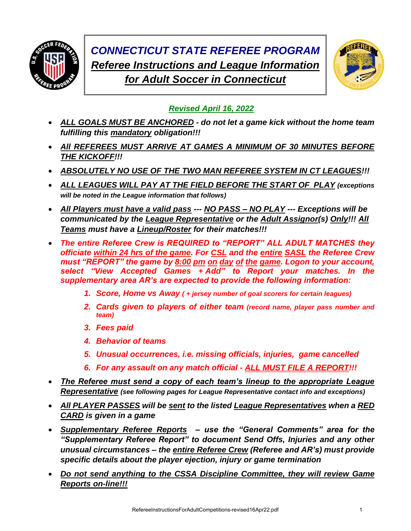

### *CONNECTICUT STATE REFEREE PROGRAM Referee Instructions and League Information for Adult Soccer in Connecticut*



### *Revised April 16, 2022*

- *ALL GOALS MUST BE ANCHORED - do not let a game kick without the home team fulfilling this mandatory obligation!!!*
- *All REFEREES MUST ARRIVE AT GAMES A MINIMUM OF 30 MINUTES BEFORE THE KICKOFF!!!*
- *ABSOLUTELY NO USE OF THE TWO MAN REFEREE SYSTEM IN CT LEAGUES!!!*
- *ALL LEAGUES WILL PAY AT THE FIELD BEFORE THE START OF PLAY (exceptions will be noted in the League information that follows)*
- *All Players must have a valid pass --- NO PASS – NO PLAY --- Exceptions will be communicated by the League Representative or the Adult Assignor(s) Only!!! All Teams must have a Lineup/Roster for their matches!!!*
- *The entire Referee Crew is REQUIRED to "REPORT" ALL ADULT MATCHES they officiate within 24 hrs of the game. For CSL and the entire SASL the Referee Crew must "REPORT" the game by 8:00 pm on day of the game. Logon to your account, select "View Accepted Games + Add" to Report your matches. In the supplementary area AR's are expected to provide the following information:*
	- *1. Score, Home vs Away ( + jersey number of goal scorers for certain leagues)*
	- *2. Cards given to players of either team (record name, player pass number and team)*
	- *3. Fees paid*
	- *4. Behavior of teams*
	- *5. Unusual occurrences, i.e. missing officials, injuries, game cancelled*
	- *6. For any assault on any match official - ALL MUST FILE A REPORT!!!*
- *The Referee must send a copy of each team's lineup to the appropriate League Representative (see following pages for League Representative contact info and exceptions)*
- *All PLAYER PASSES will be sent to the listed League Representatives when a RED CARD is given in a game*
- *Supplementary Referee Reports – use the "General Comments" area for the "Supplementary Referee Report" to document Send Offs, Injuries and any other unusual circumstances – the entire Referee Crew (Referee and AR's) must provide specific details about the player ejection, injury or game termination*
- *Do not send anything to the CSSA Discipline Committee, they will review Game Reports on-line!!!*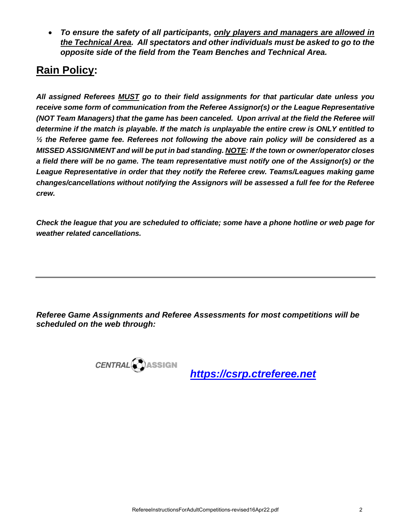• *To ensure the safety of all participants, only players and managers are allowed in the Technical Area. All spectators and other individuals must be asked to go to the opposite side of the field from the Team Benches and Technical Area.*

### **Rain Policy:**

*All assigned Referees MUST go to their field assignments for that particular date unless you receive some form of communication from the Referee Assignor(s) or the League Representative (NOT Team Managers) that the game has been canceled. Upon arrival at the field the Referee will determine if the match is playable. If the match is unplayable the entire crew is ONLY entitled to ½ the Referee game fee. Referees not following the above rain policy will be considered as a MISSED ASSIGNMENT and will be put in bad standing. NOTE: If the town or owner/operator closes a field there will be no game. The team representative must notify one of the Assignor(s) or the*  League Representative in order that they notify the Referee crew. Teams/Leagues making game *changes/cancellations without notifying the Assignors will be assessed a full fee for the Referee crew.*

*Check the league that you are scheduled to officiate; some have a phone hotline or web page for weather related cancellations.*

*Referee Game Assignments and Referee Assessments for most competitions will be scheduled on the web through:*



*[https://csrp.ctreferee.net](https://csrp.ctreferee.net/)*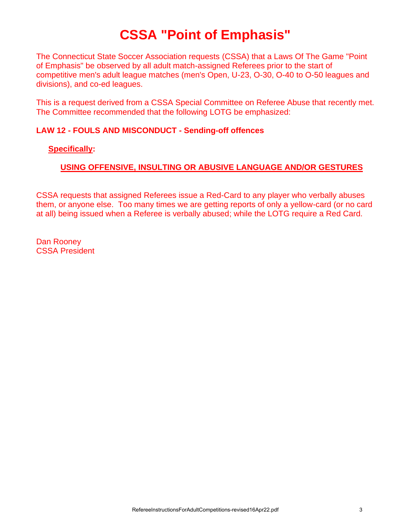## **CSSA "Point of Emphasis"**

The Connecticut State Soccer Association requests (CSSA) that a Laws Of The Game "Point of Emphasis" be observed by all adult match-assigned Referees prior to the start of competitive men's adult league matches (men's Open, U-23, O-30, O-40 to O-50 leagues and divisions), and co-ed leagues.

This is a request derived from a CSSA Special Committee on Referee Abuse that recently met. The Committee recommended that the following LOTG be emphasized:

### **LAW 12 - FOULS AND MISCONDUCT - Sending-off offences**

#### **Specifically:**

### **USING OFFENSIVE, INSULTING OR ABUSIVE LANGUAGE AND/OR GESTURES**

CSSA requests that assigned Referees issue a Red-Card to any player who verbally abuses them, or anyone else. Too many times we are getting reports of only a yellow-card (or no card at all) being issued when a Referee is verbally abused; while the LOTG require a Red Card.

Dan Rooney CSSA President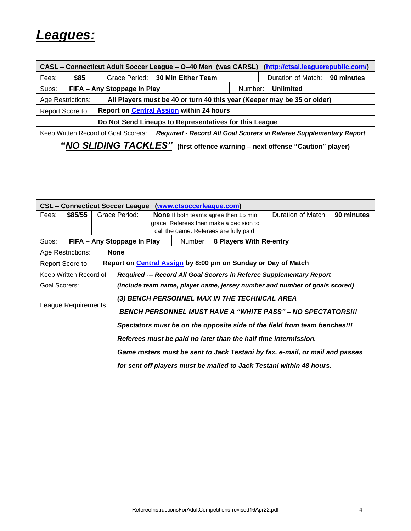### *Leagues:*

|                                                                                                            |                                                        | CASL – Connecticut Adult Soccer League – 0–40 Men (was CARSL) |                                                                         | (http://ctsal.leaguerepublic.com/) |                               |  |
|------------------------------------------------------------------------------------------------------------|--------------------------------------------------------|---------------------------------------------------------------|-------------------------------------------------------------------------|------------------------------------|-------------------------------|--|
| Fees:                                                                                                      | \$85                                                   |                                                               | Grace Period: 30 Min Either Team                                        |                                    | Duration of Match: 90 minutes |  |
| Subs:<br>Number:<br><b>Unlimited</b><br>FIFA - Any Stoppage In Play                                        |                                                        |                                                               |                                                                         |                                    |                               |  |
|                                                                                                            | Age Restrictions:                                      |                                                               | All Players must be 40 or turn 40 this year (Keeper may be 35 or older) |                                    |                               |  |
| Report Score to:                                                                                           |                                                        |                                                               | <b>Report on Central Assign within 24 hours</b>                         |                                    |                               |  |
|                                                                                                            | Do Not Send Lineups to Representatives for this League |                                                               |                                                                         |                                    |                               |  |
| Required - Record All Goal Scorers in Referee Supplementary Report<br>Keep Written Record of Goal Scorers: |                                                        |                                                               |                                                                         |                                    |                               |  |
| "NO SLIDING TACKLES" (first offence warning - next offense "Caution" player)                               |                                                        |                                                               |                                                                         |                                    |                               |  |

|               | <b>CSL – Connecticut Soccer League</b><br>(www.ctsoccerleague.com)           |                             |                                                                    |         |                                                                      |                                                                             |            |
|---------------|------------------------------------------------------------------------------|-----------------------------|--------------------------------------------------------------------|---------|----------------------------------------------------------------------|-----------------------------------------------------------------------------|------------|
| Fees:         | \$85/55                                                                      | Grace Period:               | Duration of Match:<br><b>None</b> If both teams agree then 15 min  |         |                                                                      |                                                                             | 90 minutes |
|               |                                                                              |                             |                                                                    |         | grace. Referees then make a decision to                              |                                                                             |            |
|               |                                                                              |                             |                                                                    |         | call the game. Referees are fully paid.                              |                                                                             |            |
| Subs:         |                                                                              | FIFA - Any Stoppage In Play |                                                                    | Number: | 8 Players With Re-entry                                              |                                                                             |            |
|               | Age Restrictions:                                                            | <b>None</b>                 |                                                                    |         |                                                                      |                                                                             |            |
|               | Report Score to:                                                             |                             |                                                                    |         | Report on <b>Central Assign</b> by 8:00 pm on Sunday or Day of Match |                                                                             |            |
|               | Keep Written Record of                                                       |                             |                                                                    |         |                                                                      | <b>Required --- Record All Goal Scorers in Referee Supplementary Report</b> |            |
| Goal Scorers: |                                                                              |                             |                                                                    |         |                                                                      | (include team name, player name, jersey number and number of goals scored)  |            |
|               |                                                                              |                             | (3) BENCH PERSONNEL MAX IN THE TECHNICAL AREA                      |         |                                                                      |                                                                             |            |
|               | League Requirements:                                                         |                             | <b>BENCH PERSONNEL MUST HAVE A "WHITE PASS" – NO SPECTATORS!!!</b> |         |                                                                      |                                                                             |            |
|               | Spectators must be on the opposite side of the field from team benches!!!    |                             |                                                                    |         |                                                                      |                                                                             |            |
|               | Referees must be paid no later than the half time intermission.              |                             |                                                                    |         |                                                                      |                                                                             |            |
|               | Game rosters must be sent to Jack Testani by fax, e-mail, or mail and passes |                             |                                                                    |         |                                                                      |                                                                             |            |
|               | for sent off players must be mailed to Jack Testani within 48 hours.         |                             |                                                                    |         |                                                                      |                                                                             |            |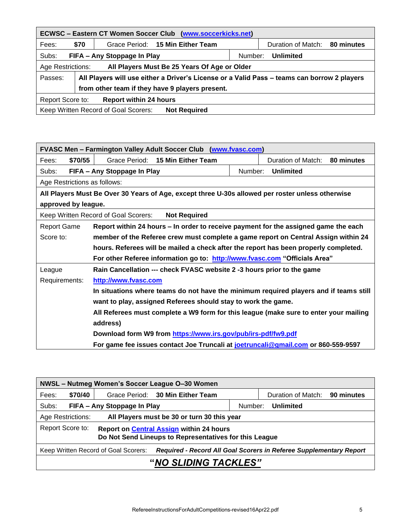| <b>ECWSC - Eastern CT Women Soccer Club (www.soccerkicks.net)</b>   |                                                        |  |  |                                              |                                                                                             |  |
|---------------------------------------------------------------------|--------------------------------------------------------|--|--|----------------------------------------------|---------------------------------------------------------------------------------------------|--|
| \$70                                                                | Grace Period: 15 Min Either Team<br>Duration of Match: |  |  |                                              | 80 minutes                                                                                  |  |
| Subs:<br>Number:<br><b>Unlimited</b><br>FIFA - Any Stoppage In Play |                                                        |  |  |                                              |                                                                                             |  |
| Age Restrictions:                                                   |                                                        |  |  |                                              |                                                                                             |  |
|                                                                     |                                                        |  |  |                                              |                                                                                             |  |
| from other team if they have 9 players present.                     |                                                        |  |  |                                              |                                                                                             |  |
| <b>Report within 24 hours</b><br>Report Score to:                   |                                                        |  |  |                                              |                                                                                             |  |
| Keep Written Record of Goal Scorers:<br><b>Not Required</b>         |                                                        |  |  |                                              |                                                                                             |  |
|                                                                     |                                                        |  |  | All Players Must Be 25 Years Of Age or Older | All Players will use either a Driver's License or a Valid Pass - teams can borrow 2 players |  |

| FVASC Men - Farmington Valley Adult Soccer Club (www.fvasc.com) |                                                                                                  |         |                    |            |  |
|-----------------------------------------------------------------|--------------------------------------------------------------------------------------------------|---------|--------------------|------------|--|
| \$70/55<br>Fees:                                                | Grace Period: 15 Min Either Team                                                                 |         | Duration of Match: | 80 minutes |  |
| Subs:                                                           | FIFA - Any Stoppage In Play                                                                      | Number: | <b>Unlimited</b>   |            |  |
| Age Restrictions as follows:                                    |                                                                                                  |         |                    |            |  |
|                                                                 | All Players Must Be Over 30 Years of Age, except three U-30s allowed per roster unless otherwise |         |                    |            |  |
| approved by league.                                             |                                                                                                  |         |                    |            |  |
|                                                                 | <b>Not Required</b><br>Keep Written Record of Goal Scorers:                                      |         |                    |            |  |
| <b>Report Game</b>                                              | Report within 24 hours – In order to receive payment for the assigned game the each              |         |                    |            |  |
| Score to:                                                       | member of the Referee crew must complete a game report on Central Assign within 24               |         |                    |            |  |
|                                                                 | hours. Referees will be mailed a check after the report has been properly completed.             |         |                    |            |  |
|                                                                 | For other Referee information go to: http://www.fvasc.com "Officials Area"                       |         |                    |            |  |
| League                                                          | Rain Cancellation --- check FVASC website 2 -3 hours prior to the game                           |         |                    |            |  |
| Requirements:                                                   | http://www.fvasc.com                                                                             |         |                    |            |  |
|                                                                 | In situations where teams do not have the minimum required players and if teams still            |         |                    |            |  |
|                                                                 | want to play, assigned Referees should stay to work the game.                                    |         |                    |            |  |
|                                                                 | All Referees must complete a W9 form for this league (make sure to enter your mailing            |         |                    |            |  |
|                                                                 | address)                                                                                         |         |                    |            |  |
|                                                                 | Download form W9 from https://www.irs.gov/pub/irs-pdf/fw9.pdf                                    |         |                    |            |  |
|                                                                 | For game fee issues contact Joe Truncali at joetruncali@gmail.com or 860-559-9597                |         |                    |            |  |

| NWSL - Nutmeg Women's Soccer League O-30 Women                                                                                |         |  |                                             |  |                               |  |  |
|-------------------------------------------------------------------------------------------------------------------------------|---------|--|---------------------------------------------|--|-------------------------------|--|--|
| Fees:                                                                                                                         | \$70/40 |  | Grace Period: 30 Min Either Team            |  | Duration of Match: 90 minutes |  |  |
| Subs:<br>Unlimited<br>FIFA - Any Stoppage In Play<br>Number:                                                                  |         |  |                                             |  |                               |  |  |
| Age Restrictions:                                                                                                             |         |  | All Players must be 30 or turn 30 this year |  |                               |  |  |
| Report Score to:<br>Report on <b>Central Assign</b> within 24 hours<br>Do Not Send Lineups to Representatives for this League |         |  |                                             |  |                               |  |  |
| Required - Record All Goal Scorers in Referee Supplementary Report<br>Keep Written Record of Goal Scorers:                    |         |  |                                             |  |                               |  |  |
| "NO SLIDING TACKLES"                                                                                                          |         |  |                                             |  |                               |  |  |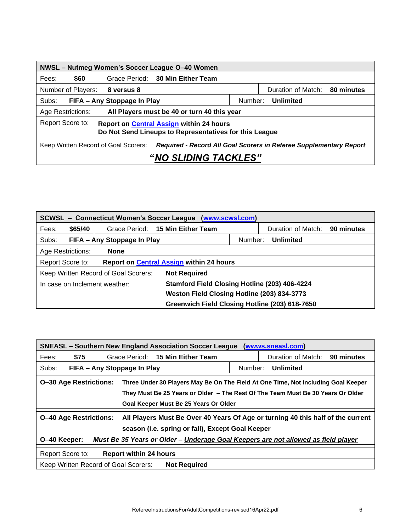| NWSL - Nutmeg Women's Soccer League O-40 Women                                                                                |                             |  |  |  |  |
|-------------------------------------------------------------------------------------------------------------------------------|-----------------------------|--|--|--|--|
| \$60<br>Grace Period: 30 Min Either Team<br>Fees:                                                                             |                             |  |  |  |  |
| Duration of Match:<br>80 minutes<br>Number of Players:<br>8 versus 8                                                          |                             |  |  |  |  |
| Subs:<br>FIFA - Any Stoppage In Play                                                                                          | Number:<br><b>Unlimited</b> |  |  |  |  |
| All Players must be 40 or turn 40 this year<br>Age Restrictions:                                                              |                             |  |  |  |  |
| Report Score to:<br>Report on <b>Central Assign</b> within 24 hours<br>Do Not Send Lineups to Representatives for this League |                             |  |  |  |  |
| Required - Record All Goal Scorers in Referee Supplementary Report<br>Keep Written Record of Goal Scorers:                    |                             |  |  |  |  |
| "NO SLIDING TACKLES"                                                                                                          |                             |  |  |  |  |

| <b>SCWSL - Connecticut Women's Soccer League (www.scwsl.com)</b> |                                                                                |  |                                                 |         |                    |            |
|------------------------------------------------------------------|--------------------------------------------------------------------------------|--|-------------------------------------------------|---------|--------------------|------------|
| Fees:                                                            | \$65/40                                                                        |  | Grace Period: 15 Min Either Team                |         | Duration of Match: | 90 minutes |
| Subs:<br>FIFA - Any Stoppage In Play                             |                                                                                |  |                                                 | Number: | Unlimited          |            |
|                                                                  | Age Restrictions:<br><b>None</b>                                               |  |                                                 |         |                    |            |
| Report Score to:                                                 |                                                                                |  | Report on <b>Central Assign</b> within 24 hours |         |                    |            |
|                                                                  | Keep Written Record of Goal Scorers:                                           |  | <b>Not Required</b>                             |         |                    |            |
|                                                                  | Stamford Field Closing Hotline (203) 406-4224<br>In case on Inclement weather: |  |                                                 |         |                    |            |
|                                                                  | Weston Field Closing Hotline (203) 834-3773                                    |  |                                                 |         |                    |            |
|                                                                  | Greenwich Field Closing Hotline (203) 618-7650                                 |  |                                                 |         |                    |            |

| SNEASL – Southern New England Association Soccer League (wwws.sneasl.com)                                                                                            |                                                                                                                                                                                                       |                             |                                                                      |         |           |  |
|----------------------------------------------------------------------------------------------------------------------------------------------------------------------|-------------------------------------------------------------------------------------------------------------------------------------------------------------------------------------------------------|-----------------------------|----------------------------------------------------------------------|---------|-----------|--|
| \$75<br>Fees:                                                                                                                                                        |                                                                                                                                                                                                       |                             | Grace Period: 15 Min Either Team<br>Duration of Match:<br>90 minutes |         |           |  |
| Subs:                                                                                                                                                                |                                                                                                                                                                                                       | FIFA – Any Stoppage In Play |                                                                      | Number: | Unlimited |  |
|                                                                                                                                                                      | <b>O-30 Age Restrictions:</b><br>Three Under 30 Players May Be On The Field At One Time, Not Including Goal Keeper<br>They Must Be 25 Years or Older - The Rest Of The Team Must Be 30 Years Or Older |                             |                                                                      |         |           |  |
|                                                                                                                                                                      |                                                                                                                                                                                                       |                             | Goal Keeper Must Be 25 Years Or Older                                |         |           |  |
| All Players Must Be Over 40 Years Of Age or turning 40 this half of the current<br><b>O-40 Age Restrictions:</b><br>season (i.e. spring or fall), Except Goal Keeper |                                                                                                                                                                                                       |                             |                                                                      |         |           |  |
| O-40 Keeper:<br>Must Be 35 Years or Older – Underage Goal Keepers are not allowed as field player                                                                    |                                                                                                                                                                                                       |                             |                                                                      |         |           |  |
| <b>Report within 24 hours</b><br>Report Score to:                                                                                                                    |                                                                                                                                                                                                       |                             |                                                                      |         |           |  |
| Keep Written Record of Goal Scorers:<br><b>Not Required</b>                                                                                                          |                                                                                                                                                                                                       |                             |                                                                      |         |           |  |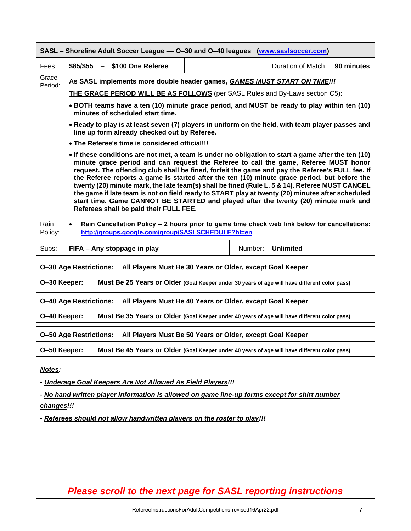| SASL - Shoreline Adult Soccer League - 0-30 and 0-40 leagues<br>(www.saslsoccer.com)                                                                                                                                                                                                                                                                                                                                                                                                                                                                                                                                                                                                                                                  |  |  |  |  |  |
|---------------------------------------------------------------------------------------------------------------------------------------------------------------------------------------------------------------------------------------------------------------------------------------------------------------------------------------------------------------------------------------------------------------------------------------------------------------------------------------------------------------------------------------------------------------------------------------------------------------------------------------------------------------------------------------------------------------------------------------|--|--|--|--|--|
| \$100 One Referee<br>\$85/\$55<br>Duration of Match:<br>90 minutes<br>Fees:                                                                                                                                                                                                                                                                                                                                                                                                                                                                                                                                                                                                                                                           |  |  |  |  |  |
| Grace<br>As SASL implements more double header games, <b>GAMES MUST START ON TIME!!!</b><br>Period:<br>THE GRACE PERIOD WILL BE AS FOLLOWS (per SASL Rules and By-Laws section C5):<br>• BOTH teams have a ten (10) minute grace period, and MUST be ready to play within ten (10)                                                                                                                                                                                                                                                                                                                                                                                                                                                    |  |  |  |  |  |
| minutes of scheduled start time.<br>. Ready to play is at least seven (7) players in uniform on the field, with team player passes and<br>line up form already checked out by Referee.                                                                                                                                                                                                                                                                                                                                                                                                                                                                                                                                                |  |  |  |  |  |
| • The Referee's time is considered official!!!                                                                                                                                                                                                                                                                                                                                                                                                                                                                                                                                                                                                                                                                                        |  |  |  |  |  |
| • If these conditions are not met, a team is under no obligation to start a game after the ten (10)<br>minute grace period and can request the Referee to call the game, Referee MUST honor<br>request. The offending club shall be fined, forfeit the game and pay the Referee's FULL fee. If<br>the Referee reports a game is started after the ten (10) minute grace period, but before the<br>twenty (20) minute mark, the late team(s) shall be fined (Rule L. 5 & 14). Referee MUST CANCEL<br>the game if late team is not on field ready to START play at twenty (20) minutes after scheduled<br>start time. Game CANNOT BE STARTED and played after the twenty (20) minute mark and<br>Referees shall be paid their FULL FEE. |  |  |  |  |  |
| Rain Cancellation Policy - 2 hours prior to game time check web link below for cancellations:<br>Rain<br>http://groups.google.com/group/SASLSCHEDULE?hl=en<br>Policy:                                                                                                                                                                                                                                                                                                                                                                                                                                                                                                                                                                 |  |  |  |  |  |
| <b>Unlimited</b><br>Subs:<br>FIFA - Any stoppage in play<br>Number:                                                                                                                                                                                                                                                                                                                                                                                                                                                                                                                                                                                                                                                                   |  |  |  |  |  |
| <b>O-30 Age Restrictions:</b><br>All Players Must Be 30 Years or Older, except Goal Keeper                                                                                                                                                                                                                                                                                                                                                                                                                                                                                                                                                                                                                                            |  |  |  |  |  |
| O-30 Keeper:<br>Must Be 25 Years or Older (Goal Keeper under 30 years of age will have different color pass)                                                                                                                                                                                                                                                                                                                                                                                                                                                                                                                                                                                                                          |  |  |  |  |  |
| <b>O-40 Age Restrictions:</b><br>All Players Must Be 40 Years or Older, except Goal Keeper                                                                                                                                                                                                                                                                                                                                                                                                                                                                                                                                                                                                                                            |  |  |  |  |  |
| O-40 Keeper:<br>Must Be 35 Years or Older (Goal Keeper under 40 years of age will have different color pass)                                                                                                                                                                                                                                                                                                                                                                                                                                                                                                                                                                                                                          |  |  |  |  |  |
| All Players Must Be 50 Years or Older, except Goal Keeper<br><b>O-50 Age Restrictions:</b>                                                                                                                                                                                                                                                                                                                                                                                                                                                                                                                                                                                                                                            |  |  |  |  |  |
| O-50 Keeper:<br>Must Be 45 Years or Older (Goal Keeper under 40 years of age will have different color pass)                                                                                                                                                                                                                                                                                                                                                                                                                                                                                                                                                                                                                          |  |  |  |  |  |
| Notes:<br>- Underage Goal Keepers Are Not Allowed As Field Players!!!<br>- No hand written player information is allowed on game line-up forms except for shirt number<br>changes!!!<br>- Referees should not allow handwritten players on the roster to play!!!                                                                                                                                                                                                                                                                                                                                                                                                                                                                      |  |  |  |  |  |

*Please scroll to the next page for SASL reporting instructions*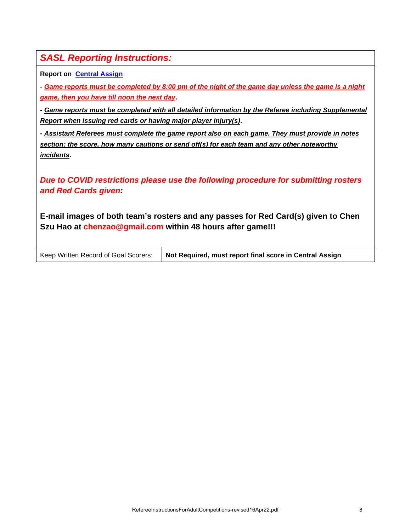*SASL Reporting Instructions:*

**Report on [Central Assign](http://csrp.ctreferee.net/)**

**-** *Game reports must be completed by 8:00 pm of the night of the game day unless the game is a night game, then you have till noon the next day***.**

**-** *Game reports must be completed with all detailed information by the Referee including Supplemental Report when issuing red cards or having major player injury(s)***.**

**-** *Assistant Referees must complete the game report also on each game. They must provide in notes section: the score, how many cautions or send off(s) for each team and any other noteworthy incidents***.**

*Due to COVID restrictions please use the following procedure for submitting rosters and Red Cards given:*

**E-mail images of both team's rosters and any passes for Red Card(s) given to Chen Szu Hao at chenzao@gmail.com within 48 hours after game!!!** 

|  |  | Keep Written Record of Goal Scorers: |
|--|--|--------------------------------------|
|  |  |                                      |

Not Required, must report final score in Central Assign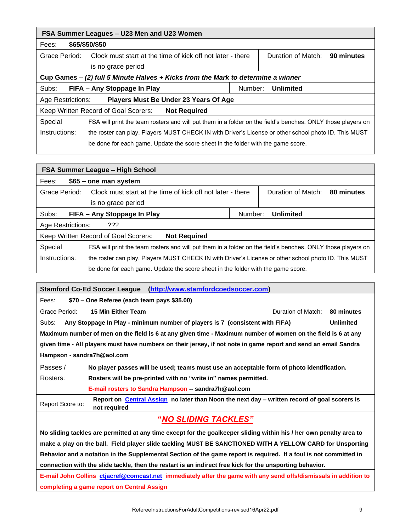| FSA Summer Leagues - U23 Men and U23 Women                                       |                                                                                                             |  |                                  |  |  |  |  |
|----------------------------------------------------------------------------------|-------------------------------------------------------------------------------------------------------------|--|----------------------------------|--|--|--|--|
| Fees:                                                                            | \$65/\$50/\$50                                                                                              |  |                                  |  |  |  |  |
| Grace Period:                                                                    | Clock must start at the time of kick off not later - there                                                  |  | Duration of Match:<br>90 minutes |  |  |  |  |
|                                                                                  | is no grace period                                                                                          |  |                                  |  |  |  |  |
|                                                                                  | Cup Games - (2) full 5 Minute Halves + Kicks from the Mark to determine a winner                            |  |                                  |  |  |  |  |
| Subs:                                                                            | Unlimited<br>FIFA - Any Stoppage In Play<br>Number:                                                         |  |                                  |  |  |  |  |
| Age Restrictions:                                                                | Players Must Be Under 23 Years Of Age                                                                       |  |                                  |  |  |  |  |
|                                                                                  | Keep Written Record of Goal Scorers:<br><b>Not Required</b>                                                 |  |                                  |  |  |  |  |
| Special                                                                          | FSA will print the team rosters and will put them in a folder on the field's benches. ONLY those players on |  |                                  |  |  |  |  |
| Instructions:                                                                    | the roster can play. Players MUST CHECK IN with Driver's License or other school photo ID. This MUST        |  |                                  |  |  |  |  |
| be done for each game. Update the score sheet in the folder with the game score. |                                                                                                             |  |                                  |  |  |  |  |

| FSA Summer League - High School |                                                                                                             |  |                                  |  |  |  |
|---------------------------------|-------------------------------------------------------------------------------------------------------------|--|----------------------------------|--|--|--|
| Fees:                           | \$65 – one man system                                                                                       |  |                                  |  |  |  |
| Grace Period:                   | Clock must start at the time of kick off not later - there                                                  |  | Duration of Match:<br>80 minutes |  |  |  |
|                                 | is no grace period                                                                                          |  |                                  |  |  |  |
| Subs:                           | FIFA - Any Stoppage In Play<br><b>Unlimited</b><br>Number:                                                  |  |                                  |  |  |  |
| Age Restrictions:               | ???                                                                                                         |  |                                  |  |  |  |
|                                 | Keep Written Record of Goal Scorers:<br><b>Not Required</b>                                                 |  |                                  |  |  |  |
| Special                         | FSA will print the team rosters and will put them in a folder on the field's benches. ONLY those players on |  |                                  |  |  |  |
| Instructions:                   | the roster can play. Players MUST CHECK IN with Driver's License or other school photo ID. This MUST        |  |                                  |  |  |  |
|                                 | be done for each game. Update the score sheet in the folder with the game score.                            |  |                                  |  |  |  |

| Stamford Co-Ed Soccer League (http://www.stamfordcoedsoccer.com)                                                                 |                                                                                                                 |  |                  |  |  |  |
|----------------------------------------------------------------------------------------------------------------------------------|-----------------------------------------------------------------------------------------------------------------|--|------------------|--|--|--|
| Fees:                                                                                                                            | \$70 - One Referee (each team pays \$35.00)                                                                     |  |                  |  |  |  |
| Grace Period:                                                                                                                    | 15 Min Either Team<br>Duration of Match:<br>80 minutes                                                          |  |                  |  |  |  |
| Subs:                                                                                                                            | Any Stoppage In Play - minimum number of players is 7 (consistent with FIFA)                                    |  | <b>Unlimited</b> |  |  |  |
|                                                                                                                                  | Maximum number of men on the field is 6 at any given time - Maximum number of women on the field is 6 at any    |  |                  |  |  |  |
|                                                                                                                                  | given time - All players must have numbers on their jersey, if not note in game report and send an email Sandra |  |                  |  |  |  |
| Hampson - sandra7h@aol.com                                                                                                       |                                                                                                                 |  |                  |  |  |  |
| Passes /                                                                                                                         | No player passes will be used; teams must use an acceptable form of photo identification.                       |  |                  |  |  |  |
| Rosters:                                                                                                                         | Rosters will be pre-printed with no "write in" names permitted.                                                 |  |                  |  |  |  |
| E-mail rosters to Sandra Hampson -- sandra7h@aol.com                                                                             |                                                                                                                 |  |                  |  |  |  |
| Report on Central Assign no later than Noon the next day – written record of goal scorers is<br>Report Score to:<br>not required |                                                                                                                 |  |                  |  |  |  |
| "NO SLIDING TACKLES"                                                                                                             |                                                                                                                 |  |                  |  |  |  |
| No sliding tackles are permitted at any time except for the goalkeeper sliding within his / her own penalty area to              |                                                                                                                 |  |                  |  |  |  |
| make a play on the ball. Field player slide tackling MUST BE SANCTIONED WITH A YELLOW CARD for Unsporting                        |                                                                                                                 |  |                  |  |  |  |
| Behavior and a notation in the Supplemental Section of the game report is required. If a foul is not committed in                |                                                                                                                 |  |                  |  |  |  |
| connection with the slide tackle, then the restart is an indirect free kick for the unsporting behavior.                         |                                                                                                                 |  |                  |  |  |  |
| E-mail John Collins ctiacref@comcast.net immediately after the game with any send offs/dismissals in addition to                 |                                                                                                                 |  |                  |  |  |  |
| completing a game report on Central Assign                                                                                       |                                                                                                                 |  |                  |  |  |  |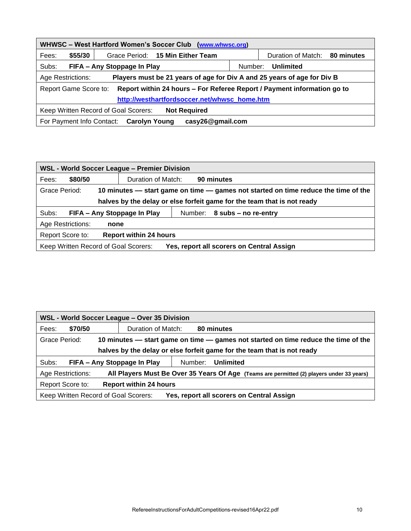| WHWSC - West Hartford Women's Soccer Club (www.whwsc.org)                                        |         |                             |                                  |         |                    |            |
|--------------------------------------------------------------------------------------------------|---------|-----------------------------|----------------------------------|---------|--------------------|------------|
| Fees:                                                                                            | \$55/30 |                             | Grace Period: 15 Min Either Team |         | Duration of Match: | 80 minutes |
| Subs:                                                                                            |         | FIFA - Any Stoppage In Play |                                  | Number: | Unlimited          |            |
| Players must be 21 years of age for Div A and 25 years of age for Div B<br>Age Restrictions:     |         |                             |                                  |         |                    |            |
| Report within 24 hours – For Referee Report / Payment information go to<br>Report Game Score to: |         |                             |                                  |         |                    |            |
| http://westhartfordsoccer.net/whwsc_home.htm                                                     |         |                             |                                  |         |                    |            |
| Keep Written Record of Goal Scorers:<br><b>Not Required</b>                                      |         |                             |                                  |         |                    |            |
| casy26@gmail.com<br>For Payment Info Contact:<br><b>Carolyn Young</b>                            |         |                             |                                  |         |                    |            |

| <b>WSL - World Soccer League - Premier Division</b>                               |                                                                                    |                    |  |  |                                                                         |
|-----------------------------------------------------------------------------------|------------------------------------------------------------------------------------|--------------------|--|--|-------------------------------------------------------------------------|
| \$80/50<br>Fees:                                                                  |                                                                                    | Duration of Match: |  |  | 90 minutes                                                              |
| Grace Period:                                                                     | 10 minutes — start game on time — games not started on time reduce the time of the |                    |  |  |                                                                         |
|                                                                                   |                                                                                    |                    |  |  | halves by the delay or else forfeit game for the team that is not ready |
| Subs:<br>FIFA - Any Stoppage In Play<br>Number: 8 subs - no re-entry              |                                                                                    |                    |  |  |                                                                         |
| Age Restrictions:<br>none                                                         |                                                                                    |                    |  |  |                                                                         |
| Report Score to:<br><b>Report within 24 hours</b>                                 |                                                                                    |                    |  |  |                                                                         |
| Keep Written Record of Goal Scorers:<br>Yes, report all scorers on Central Assign |                                                                                    |                    |  |  |                                                                         |

| WSL - World Soccer League - Over 35 Division                                                                   |                                                                                    |                                                                         |  |  |  |
|----------------------------------------------------------------------------------------------------------------|------------------------------------------------------------------------------------|-------------------------------------------------------------------------|--|--|--|
| \$70/50<br>Fees:                                                                                               | Duration of Match:                                                                 | 80 minutes                                                              |  |  |  |
| Grace Period:                                                                                                  | 10 minutes — start game on time — games not started on time reduce the time of the |                                                                         |  |  |  |
|                                                                                                                |                                                                                    | halves by the delay or else forfeit game for the team that is not ready |  |  |  |
| Subs:                                                                                                          | FIFA - Any Stoppage In Play                                                        | Number:<br>Unlimited                                                    |  |  |  |
| Age Restrictions:<br>All Players Must Be Over 35 Years Of Age (Teams are permitted (2) players under 33 years) |                                                                                    |                                                                         |  |  |  |
| Report Score to:<br><b>Report within 24 hours</b>                                                              |                                                                                    |                                                                         |  |  |  |
| Keep Written Record of Goal Scorers:<br>Yes, report all scorers on Central Assign                              |                                                                                    |                                                                         |  |  |  |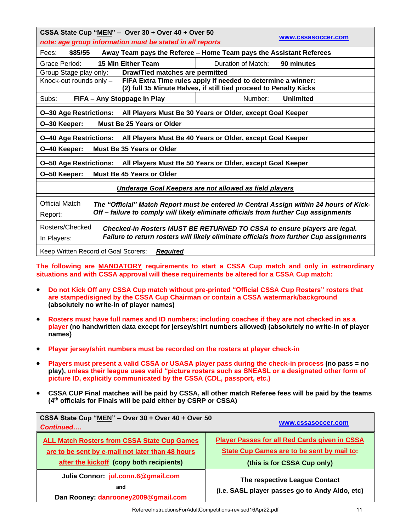| CSSA State Cup "MEN" - Over 30 + Over 40 + Over 50                                                              |                                                                                                                                   |  |  |  |
|-----------------------------------------------------------------------------------------------------------------|-----------------------------------------------------------------------------------------------------------------------------------|--|--|--|
| note: age group information must be stated in all reports                                                       | www.cssasoccer.com                                                                                                                |  |  |  |
| \$85/55<br>Fees:                                                                                                | Away Team pays the Referee - Home Team pays the Assistant Referees                                                                |  |  |  |
| <b>15 Min Either Team</b><br>Grace Period:                                                                      | Duration of Match:<br>90 minutes                                                                                                  |  |  |  |
| Draw/Tied matches are permitted<br>Group Stage play only:                                                       |                                                                                                                                   |  |  |  |
| Knock-out rounds only -                                                                                         | FIFA Extra Time rules apply if needed to determine a winner:<br>(2) full 15 Minute Halves, if still tied proceed to Penalty Kicks |  |  |  |
| FIFA - Any Stoppage In Play<br>Subs:                                                                            | Number:<br>Unlimited                                                                                                              |  |  |  |
| <b>O-30 Age Restrictions:</b>                                                                                   | All Players Must Be 30 Years or Older, except Goal Keeper                                                                         |  |  |  |
| Must Be 25 Years or Older<br>O-30 Keeper:                                                                       |                                                                                                                                   |  |  |  |
| <b>O-40 Age Restrictions:</b>                                                                                   | All Players Must Be 40 Years or Older, except Goal Keeper                                                                         |  |  |  |
| Must Be 35 Years or Older<br>O-40 Keeper:                                                                       |                                                                                                                                   |  |  |  |
| <b>O-50 Age Restrictions:</b><br>All Players Must Be 50 Years or Older, except Goal Keeper                      |                                                                                                                                   |  |  |  |
| O-50 Keeper:<br>Must Be 45 Years or Older                                                                       |                                                                                                                                   |  |  |  |
| Underage Goal Keepers are not allowed as field players                                                          |                                                                                                                                   |  |  |  |
| <b>Official Match</b><br>The "Official" Match Report must be entered in Central Assign within 24 hours of Kick- |                                                                                                                                   |  |  |  |
| Off – failure to comply will likely eliminate officials from further Cup assignments<br>Report:                 |                                                                                                                                   |  |  |  |
| Rosters/Checked<br>Checked-in Rosters MUST BE RETURNED TO CSSA to ensure players are legal.                     |                                                                                                                                   |  |  |  |
| Failure to return rosters will likely eliminate officials from further Cup assignments<br>In Players:           |                                                                                                                                   |  |  |  |
| Keep Written Record of Goal Scorers:<br><b>Required</b>                                                         |                                                                                                                                   |  |  |  |

**The following are MANDATORY requirements to start a CSSA Cup match and only in extraordinary situations and with CSSA approval will these requirements be altered for a CSSA Cup match:**

- **Do not Kick Off any CSSA Cup match without pre-printed "Official CSSA Cup Rosters" rosters that are stamped/signed by the CSSA Cup Chairman or contain a CSSA watermark/background (absolutely no write-in of player names)**
- **Rosters must have full names and ID numbers; including coaches if they are not checked in as a player (no handwritten data except for jersey/shirt numbers allowed) (absolutely no write-in of player names)**
- **Player jersey/shirt numbers must be recorded on the rosters at player check-in**
- **Players must present a valid CSSA or USASA player pass during the check-in process (no pass = no play), unless their league uses valid "picture rosters such as SNEASL or a designated other form of picture ID, explicitly communicated by the CSSA (CDL, passport, etc.)**
- **CSSA CUP Final matches will be paid by CSSA, all other match Referee fees will be paid by the teams (4th officials for Finals will be paid either by CSRP or CSSA)**

| CSSA State Cup "MEN" - Over 30 + Over 40 + Over 50<br>Continued                                                                                    | www.cssasoccer.com                                                                                                                |
|----------------------------------------------------------------------------------------------------------------------------------------------------|-----------------------------------------------------------------------------------------------------------------------------------|
| <b>ALL Match Rosters from CSSA State Cup Games</b><br>are to be sent by e-mail not later than 48 hours<br>after the kickoff (copy both recipients) | <b>Player Passes for all Red Cards given in CSSA</b><br>State Cup Games are to be sent by mail to:<br>(this is for CSSA Cup only) |
| Julia Connor: jul.conn.6@gmail.com<br>and<br>Dan Rooney: danrooney2009@gmail.com                                                                   | The respective League Contact<br>(i.e. SASL player passes go to Andy Aldo, etc)                                                   |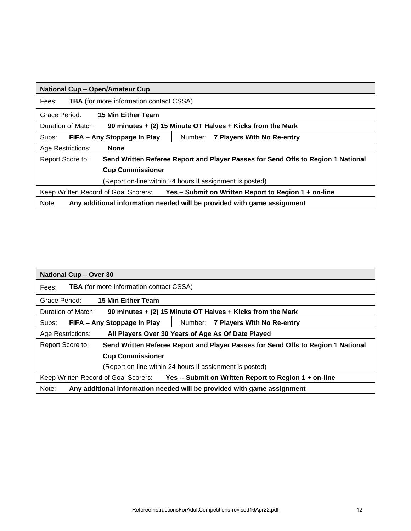| <b>National Cup - Open/Amateur Cup</b>                                                               |                                                            |  |  |  |  |
|------------------------------------------------------------------------------------------------------|------------------------------------------------------------|--|--|--|--|
| Fees:                                                                                                | <b>TBA</b> (for more information contact CSSA)             |  |  |  |  |
| 15 Min Either Team<br>Grace Period:                                                                  |                                                            |  |  |  |  |
| Duration of Match:                                                                                   | 90 minutes + (2) 15 Minute OT Halves + Kicks from the Mark |  |  |  |  |
| Subs:<br>FIFA - Any Stoppage In Play                                                                 | 7 Players With No Re-entry<br>Number:                      |  |  |  |  |
| Age Restrictions:<br><b>None</b>                                                                     |                                                            |  |  |  |  |
| Send Written Referee Report and Player Passes for Send Offs to Region 1 National<br>Report Score to: |                                                            |  |  |  |  |
| <b>Cup Commissioner</b>                                                                              |                                                            |  |  |  |  |
| (Report on-line within 24 hours if assignment is posted)                                             |                                                            |  |  |  |  |
| Yes - Submit on Written Report to Region 1 + on-line<br>Keep Written Record of Goal Scorers:         |                                                            |  |  |  |  |
| Any additional information needed will be provided with game assignment<br>Note:                     |                                                            |  |  |  |  |

| <b>National Cup - Over 30</b>                                                                        |  |  |  |  |
|------------------------------------------------------------------------------------------------------|--|--|--|--|
| <b>TBA</b> (for more information contact CSSA)<br>Fees:                                              |  |  |  |  |
| Grace Period:<br>15 Min Either Team                                                                  |  |  |  |  |
| 90 minutes + (2) 15 Minute OT Halves + Kicks from the Mark<br>Duration of Match:                     |  |  |  |  |
| FIFA - Any Stoppage In Play<br>Number: 7 Players With No Re-entry<br>Subs:                           |  |  |  |  |
| All Players Over 30 Years of Age As Of Date Played<br>Age Restrictions:                              |  |  |  |  |
| Report Score to:<br>Send Written Referee Report and Player Passes for Send Offs to Region 1 National |  |  |  |  |
| <b>Cup Commissioner</b>                                                                              |  |  |  |  |
| (Report on-line within 24 hours if assignment is posted)                                             |  |  |  |  |
| Yes -- Submit on Written Report to Region $1 +$ on-line<br>Keep Written Record of Goal Scorers:      |  |  |  |  |
| Any additional information needed will be provided with game assignment<br>Note:                     |  |  |  |  |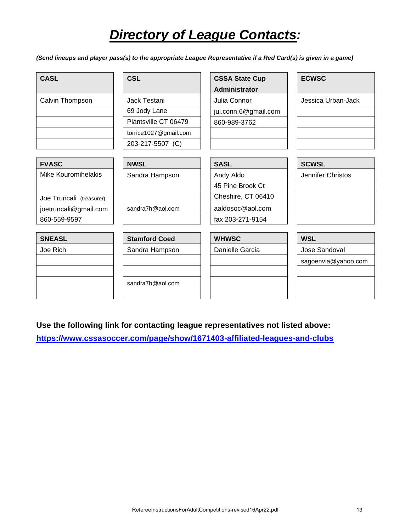# *Directory of League Contacts:*

*(Send lineups and player pass(s) to the appropriate League Representative if a Red Card(s) is given in a game)*

| <b>CASL</b>                | <b>CSL</b>            | <b>CSSA State Cup</b><br><b>Administrator</b> | <b>ECWSC</b>        |
|----------------------------|-----------------------|-----------------------------------------------|---------------------|
|                            |                       |                                               |                     |
| Calvin Thompson            | Jack Testani          | Julia Connor                                  | Jessica Urban-Jack  |
|                            | 69 Jody Lane          | jul.conn.6@gmail.com                          |                     |
|                            | Plantsville CT 06479  | 860-989-3762                                  |                     |
|                            | torrice1027@gmail.com |                                               |                     |
|                            | 203-217-5507 (C)      |                                               |                     |
|                            |                       |                                               |                     |
| <b>FVASC</b>               | <b>NWSL</b>           | <b>SASL</b>                                   | <b>SCWSL</b>        |
| <b>Mike Kouromihelakis</b> | Sandra Hampson        | Andy Aldo                                     | Jennifer Christos   |
|                            |                       | 45 Pine Brook Ct                              |                     |
| Joe Truncali (treasurer)   |                       | Cheshire, CT 06410                            |                     |
| joetruncali@gmail.com      | sandra7h@aol.com      | aaldosoc@aol.com                              |                     |
| 860-559-9597               |                       | fax 203-271-9154                              |                     |
|                            |                       |                                               |                     |
| <b>SNEASL</b>              | <b>Stamford Coed</b>  | <b>WHWSC</b>                                  | <b>WSL</b>          |
| Joe Rich                   | Sandra Hampson        | Danielle Garcia                               | Jose Sandoval       |
|                            |                       |                                               | sagoenvia@yahoo.com |
|                            |                       |                                               |                     |
|                            | sandra7h@aol.com      |                                               |                     |
|                            |                       |                                               |                     |

**Use the following link for contacting league representatives not listed above:**

**<https://www.cssasoccer.com/page/show/1671403-affiliated-leagues-and-clubs>**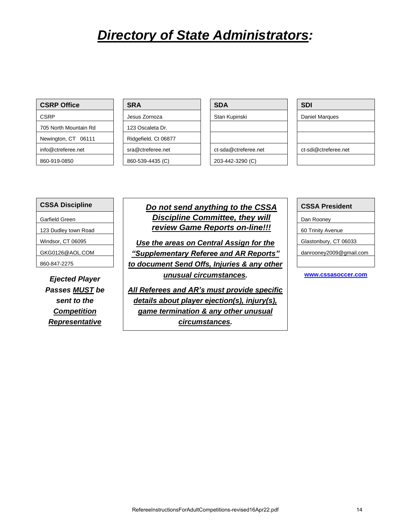## *Directory of State Administrators:*

| <b>CSRP Office</b>    |  | <b>SRA</b>           |
|-----------------------|--|----------------------|
| CSRP                  |  | Jesus Zornoza        |
| 705 North Mountain Rd |  | 123 Oscaleta Dr.     |
| Newington, CT 06111   |  | Ridgefield, Ct 06877 |
| info@ctreferee.net    |  | sra@ctreferee.net    |
| 860-919-0850          |  | 860-539-4435 (C)     |

| <b>CSRP Office</b>    | <b>SRA</b>           | <b>SDA</b>        |
|-----------------------|----------------------|-------------------|
| CSRP                  | Jesus Zornoza        | Stan Kupinski     |
| 705 North Mountain Rd | 123 Oscaleta Dr.     |                   |
| Newington, CT 06111   | Ridgefield, Ct 06877 |                   |
| info@ctreferee.net    | sra@ctreferee.net    | ct-sda@ctreferee. |
| 860-919-0850          | 860-539-4435 (C)     | 203-442-3290 (C)  |
|                       |                      |                   |

| <b>CSRP Office</b>    | <b>SRA</b>           | <b>SDA</b>           | <b>SDI</b>           |
|-----------------------|----------------------|----------------------|----------------------|
| CSRP                  | Jesus Zornoza        | Stan Kupinski        | Daniel Margues       |
| 705 North Mountain Rd | 123 Oscaleta Dr.     |                      |                      |
| Newington, CT 06111   | Ridgefield, Ct 06877 |                      |                      |
| info@ctreferee.net    | sra@ctreferee.net    | ct-sda@ctreferee.net | ct-sdi@ctreferee.net |
| 860-919-0850          | 860-539-4435 (C)     | 203-442-3290 (C)     |                      |

| <b>SDI</b>           |
|----------------------|
| Daniel Marques       |
|                      |
|                      |
| ct-sdi@ctreferee.net |
|                      |

| Garfield Green                        |  |
|---------------------------------------|--|
| $100.5$ $5.1$ $1.1$ $1.1$ $5.1$ $5.1$ |  |

860-847-2275

*Ejected Player Passes MUST be sent to the Competition Representative*

### **CSSA Discipline** *Do not send anything to the CSSA*  Garfield Green **Discipline Committee, they will** an Rooney 123 Dudley town Road **Fight Struet Came Reports on-line!!!** 60 Trinity Avenue

Windsor, CT 06095 **Lightlene areas on Central Assign for the Callect Communist CT 06033** GKG0126@AOL.COM **Annual Computementary Referee and AR Reports"** | danrooney2009@gmail.com *to document Send Offs, Injuries & any other unusual circumstances.*

> *All Referees and AR's must provide specific details about player ejection(s), injury(s), game termination & any other unusual circumstances.*

| <b>CSSA President</b> |
|-----------------------|
|                       |

**www.cssasoccer.com**